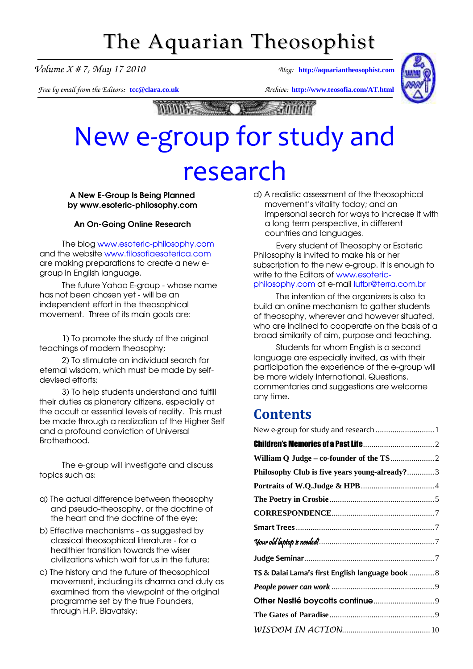# The Aquarian Theosophist

*Volume X # 7, May 17 2010 Blog:* **[http://aquariantheosophist.com](http://aquariantheosophist.com/)**

*Free by email from the Editors:* **[tcc@clara.co.uk](mailto:tcc@clara.co.uk)** *Archive:* **<http://www.teosofia.com/AT.html>**



 $0.0007$ 

# New e-group for study and research

A New E-Group Is Being Planned by www.esoteric-philosophy.com

## An On-Going Online Research

The blog [www.esoteric-philosophy.com](http://www.esoteric-philosophy.com/) and the website [www.filosofiaesoterica.com](http://www.filosofiaesoterica.com/) are making preparations to create a new egroup in English language.

The future Yahoo E-group - whose name has not been chosen yet - will be an independent effort in the theosophical movement. Three of its main goals are:

1) To promote the study of the original teachings of modern theosophy;

2) To stimulate an individual search for eternal wisdom, which must be made by selfdevised efforts;

3) To help students understand and fulfill their duties as planetary citizens, especially at the occult or essential levels of reality. This must be made through a realization of the Higher Self and a profound conviction of Universal Brotherhood.

The e-group will investigate and discuss topics such as:

- a) The actual difference between theosophy and pseudo-theosophy, or the doctrine of the heart and the doctrine of the eye;
- b) Effective mechanisms as suggested by classical theosophical literature - for a healthier transition towards the wiser civilizations which wait for us in the future;
- c) The history and the future of theosophical movement, including its dharma and duty as examined from the viewpoint of the original programme set by the true Founders, through H.P. Blavatsky;

d) A realistic assessment of the theosophical movement's vitality today; and an impersonal search for ways to increase it with a long term perspective, in different countries and languages.

Every student of Theosophy or Esoteric Philosophy is invited to make his or her subscription to the new e-group. It is enough to write to the Editors of [www.esoteric](http://www.esoteric-philosophy.com/)philosophy.com at e-mail [lutbr@terra.com.b](mailto:lutbr@terra.com.br)r

The intention of the organizers is also to build an online mechanism to gather students of theosophy, wherever and however situated, who are inclined to cooperate on the basis of a broad similarity of aim, purpose and teaching.

Students for whom English is a second language are especially invited, as with their participation the experience of the e-group will be more widely international. Questions, commentaries and suggestions are welcome any time.

## **Contents**

| New e-group for study and research  1            |  |
|--------------------------------------------------|--|
|                                                  |  |
|                                                  |  |
| Philosophy Club is five years young-already?3    |  |
|                                                  |  |
|                                                  |  |
|                                                  |  |
|                                                  |  |
|                                                  |  |
|                                                  |  |
| TS & Dalai Lama's first English language book  8 |  |
|                                                  |  |
|                                                  |  |
|                                                  |  |
|                                                  |  |
|                                                  |  |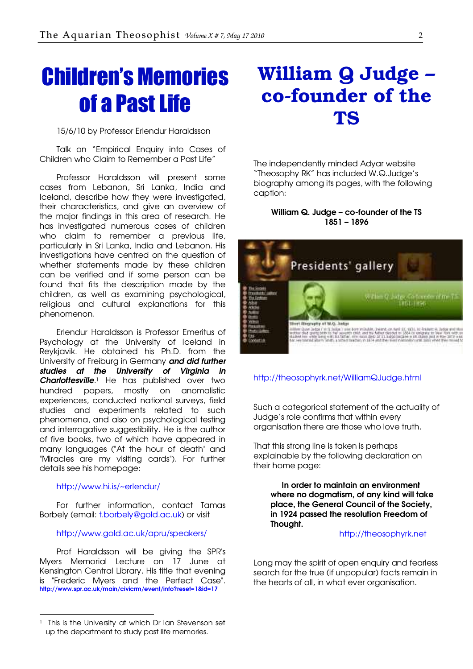# <span id="page-1-0"></span>Children's Memories of a Past Life

15/6/10 by Professor Erlendur Haraldsson

Talk on "Empirical Enquiry into Cases of Children who Claim to Remember a Past Life"

Professor Haraldsson will present some cases from Lebanon, Sri Lanka, India and Iceland, describe how they were investigated, their characteristics, and give an overview of the major findings in this area of research. He has investigated numerous cases of children who claim to remember a previous life, particularly in Sri Lanka, India and Lebanon. His investigations have centred on the question of whether statements made by these children can be verified and if some person can be found that fits the description made by the children, as well as examining psychological, religious and cultural explanations for this phenomenon.

Erlendur Haraldsson is Professor Emeritus of Psychology at the University of Iceland in Reykjavik. He obtained his Ph.D. from the University of Freiburg in Germany and did further studies at the University of Virginia in **Charlottesville**.<sup>1</sup> He has published over two hundred papers, mostly on anomalistic experiences, conducted national surveys, field studies and experiments related to such phenomena, and also on psychological testing and interrogative suggestibility. He is the author of five books, two of which have appeared in many languages ("At the hour of death" and "Miracles are my visiting cards"). For further details see his homepage:

### <http://www.hi.is/~erlendur/>

-

For further information, contact Tamas Borbely (email: [t.borbely@gold.ac.uk\) or visit](mailto:t.borbely@gold.ac.uk) 

### <http://www.gold.ac.uk/apru/speakers/>

Prof Haraldsson will be giving the SPR's Myers Memorial Lecture on 17 June at Kensington Central Library. His title that evening is "Frederic Myers and the Perfect Case". http://www.spr.ac.uk/main/civicrm/event/info?reset=1&id=17

## William Q Judge – co-founder of the TS

The independently minded Adyar website "Theosophy RK" has included W.Q.Judge's biography among its pages, with the following caption:

## William Q. Judge – co-founder of the TS 1851 – 1896



## [http://theosophyrk.net/WilliamQJudge.htm](http://theosophyrk.net/WilliamQJudge.html)l

Such a categorical statement of the actuality of Judge's role confirms that within every organisation there are those who love truth.

That this strong line is taken is perhaps explainable by the following declaration on their home page:

In order to maintain an environment where no doamatism, of any kind will take place, the General Council of the Society, in 1924 passed the resolution Freedom of Thought.

#### [http://theosophyrk.net](http://theosophyrk.net/)

Long may the spirit of open enquiry and fearless search for the true (if unpopular) facts remain in the hearts of all, in what ever organisation.

This is the University at which Dr Ian Stevenson set up the department to study past life memories.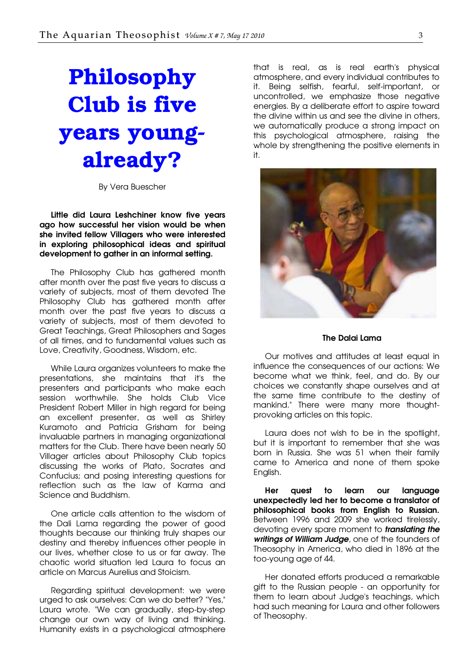# <span id="page-2-0"></span>Philosophy Club is five years youngalready?

By Vera Buescher

Little did Laura Leshchiner know five years ago how successful her vision would be when she invited fellow Villagers who were interested in exploring philosophical ideas and spiritual development to gather in an informal setting.

The Philosophy Club has gathered month after month over the past five years to discuss a variety of subjects, most of them devoted The Philosophy Club has gathered month after month over the past five years to discuss a variety of subjects, most of them devoted to Great Teachings, Great Philosophers and Sages of all times, and to fundamental values such as Love, Creativity, Goodness, Wisdom, etc.

While Laura organizes volunteers to make the presentations, she maintains that it's the presenters and participants who make each session worthwhile. She holds Club Vice President Robert Miller in high regard for being an excellent presenter, as well as Shirley Kuramoto and Patricia Grisham for being invaluable partners in managing organizational matters for the Club. There have been nearly 50 Villager articles about Philosophy Club topics discussing the works of Plato, Socrates and Confucius; and posing interesting questions for reflection such as the law of Karma and Science and Buddhism.

One article calls attention to the wisdom of the Dali Lama regarding the power of good thoughts because our thinking truly shapes our destiny and thereby influences other people in our lives, whether close to us or far away. The chaotic world situation led Laura to focus an article on Marcus Aurelius and Stoicism.

Regarding spiritual development: we were urged to ask ourselves: Can we do better? "Yes," Laura wrote. "We can gradually, step-by-step change our own way of living and thinking. Humanity exists in a psychological atmosphere

that is real, as is real earth's physical atmosphere, and every individual contributes to it. Being selfish, fearful, self-important, or uncontrolled, we emphasize those negative energies. By a deliberate effort to aspire toward the divine within us and see the divine in others, we automatically produce a strong impact on this psychological atmosphere, raising the whole by strengthening the positive elements in it.



#### The Dalai Lama

Our motives and attitudes at least equal in influence the consequences of our actions: We become what we think, feel, and do. By our choices we constantly shape ourselves and at the same time contribute to the destiny of mankind." There were many more thoughtprovoking articles on this topic.

Laura does not wish to be in the spotlight, but it is important to remember that she was born in Russia. She was 51 when their family came to America and none of them spoke English.

Her quest to learn our language unexpectedly led her to become a translator of philosophical books from English to Russian. Between 1996 and 2009 she worked tirelessly, devoting every spare moment to *translating the* writings of William Judge, one of the founders of Theosophy in America, who died in 1896 at the too-young age of 44.

Her donated efforts produced a remarkable gift to the Russian people - an opportunity for them to learn about Judge's teachings, which had such meaning for Laura and other followers of Theosophy.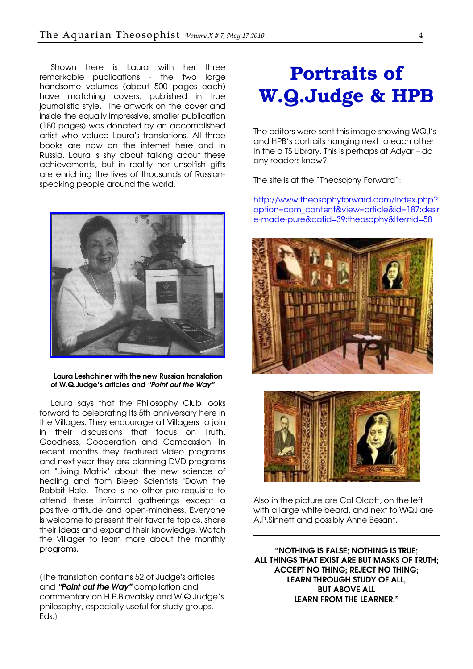<span id="page-3-0"></span>Shown here is Laura with her three remarkable publications - the two large handsome volumes (about 500 pages each) have matching covers, published in true journalistic style. The artwork on the cover and inside the equally impressive, smaller publication (180 pages) was donated by an accomplished artist who valued Laura's translations. All three books are now on the internet here and in Russia. Laura is shy about talking about these achievements, but in reality her unselfish gifts are enriching the lives of thousands of Russianspeaking people around the world.



#### Laura Leshchiner with the new Russian translation of W.Q.Judge's articles and "Point out the Way"

Laura says that the Philosophy Club looks forward to celebrating its 5th anniversary here in the Villages. They encourage all Villagers to join in their discussions that focus on Truth, Goodness, Cooperation and Compassion. In recent months they featured video programs and next year they are planning DVD programs on "Living Matrix" about the new science of healing and from Bleep Scientists "Down the Rabbit Hole." There is no other pre-requisite to attend these informal gatherings except a positive attitude and open-mindness. Everyone is welcome to present their favorite topics, share their ideas and expand their knowledge. Watch the Villager to learn more about the monthly programs.

[The translation contains 52 of Judge's articles and "Point out the Way" compilation and commentary on H.P.Blavatsky and W.Q.Judge's philosophy, especially useful for study groups. Eds.]

# Portraits of W.Q.Judge & HPB

The editors were sent this image showing WQJ's and HPB's portraits hanging next to each other in the a TS Library. This is perhaps at Adyar – do any readers know?

The site is at the "Theosophy Forward":

[http://www.theosophyforward.com/index.php?](http://www.theosophyforward.com/index.php?option=com_content&view=article&id=187:desire-made-pure&catid=39:theosophy&Itemid=58) option=com\_content&view=article&id=187:desir e-made-pure&catid=39:theosophy&Itemid=58





Also in the picture are Col Olcott, on the left with a large white beard, and next to WQJ are A.P.Sinnett and possibly Anne Besant.

"NOTHING IS FALSE; NOTHING IS TRUE; ALL THINGS THAT EXIST ARE BUT MASKS OF TRUTH; ACCEPT NO THING; REJECT NO THING; LEARN THROUGH STUDY OF ALL, BUT ABOVE ALL LEARN FROM THE LEARNER."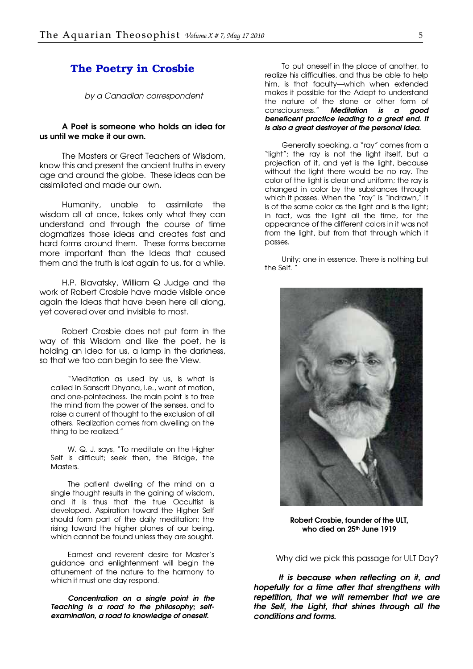## <span id="page-4-0"></span>The Poetry in Crosbie

by a Canadian correspondent

#### A Poet is someone who holds an idea for us until we make it our own.

The Masters or Great Teachers of Wisdom, know this and present the ancient truths in every age and around the globe. These ideas can be assimilated and made our own.

Humanity, unable to assimilate the wisdom all at once, takes only what they can understand and through the course of time dogmatizes those ideas and creates fast and hard forms around them. These forms become more important than the Ideas that caused them and the truth is lost again to us, for a while.

H.P. Blavatsky, William Q Judge and the work of Robert Crosbie have made visible once again the Ideas that have been here all along, yet covered over and invisible to most.

Robert Crosbie does not put form in the way of this Wisdom and like the poet, he is holding an idea for us, a lamp in the darkness, so that we too can begin to see the View.

"Meditation as used by us, is what is called in Sanscrit Dhyana, i.e., want of motion, and one-pointedness. The main point is to free the mind from the power of the senses, and to raise a current of thought to the exclusion of all others. Realization comes from dwelling on the thing to be realized."

W. Q. J. says, "To meditate on the Higher Self is difficult; seek then, the Bridge, the **Masters** 

The patient dwelling of the mind on a single thought results in the gaining of wisdom, and it is thus that the true Occultist is developed. Aspiration toward the Higher Self should form part of the daily meditation; the rising toward the higher planes of our being, which cannot be found unless they are sought.

Earnest and reverent desire for Master's guidance and enlightenment will begin the attunement of the nature to the harmony to which it must one day respond.

Concentration on a single point in the Teaching is a road to the philosophy; selfexamination, a road to knowledge of oneself.

To put oneself in the place of another, to realize his difficulties, and thus be able to help him, is that faculty—which when extended makes it possible for the Adept to understand the nature of the stone or other form of consciousness." Meditation is a good beneficent practice leading to a great end. It is also a great destroyer of the personal idea.

Generally speaking, a "ray" comes from a "light"; the ray is not the light itself, but a projection of it, and yet is the light, because without the light there would be no ray. The color of the light is clear and uniform; the ray is changed in color by the substances through which it passes. When the "ray" is "indrawn," it is of the same color as the light and is the light; in fact, was the light all the time, for the appearance of the different colors in it was not from the light, but from that through which it passes.

Unity; one in essence. There is nothing but the Self.



Robert Crosbie, founder of the ULT, who died on 25<sup>th</sup> June 1919

Why did we pick this passage for ULT Day?

 It is because when reflecting on it, and hopefully for a time after that strengthens with repetition, that we will remember that we are the Self, the Light, that shines through all the conditions and forms.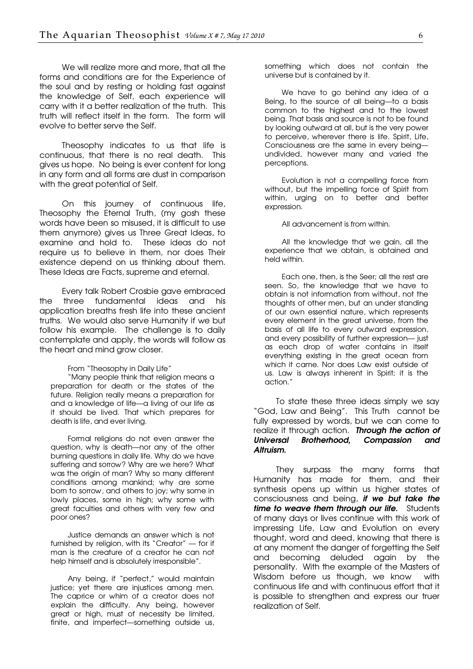We will realize more and more, that all the forms and conditions are for the Experience of the soul and by resting or holding fast against the knowledge of Self, each experience will carry with it a better realization of the truth. This truth will reflect itself in the form. The form will evolve to better serve the Self.

Theosophy indicates to us that life is continuous, that there is no real death. This gives us hope. No being is ever content for long in any form and all forms are dust in comparison with the great potential of Self.

On this journey of continuous life, Theosophy the Eternal Truth, (my gosh these words have been so misused, it is difficult to use them anymore) gives us Three Great Ideas, to examine and hold to. These ideas do not require us to believe in them, nor does Their existence depend on us thinking about them. These Ideas are Facts, supreme and eternal.

Every talk Robert Crosbie gave embraced the three fundamental ideas and his application breaths fresh life into these ancient truths. We would also serve Humanity if we but follow his example. The challenge is to daily contemplate and apply, the words will follow as the heart and mind grow closer.

From "Theosophy in Daily Life"

"Many people think that religion means a preparation for death or the states of the future. Religion really means a preparation for and a knowledge of life—a living of our life as it should be lived. That which prepares for death is life, and ever living.

Formal religions do not even answer the question, why is death—nor any of the other burning questions in daily life. Why do we have suffering and sorrow? Why are we here? What was the origin of man? Why so many different conditions among mankind; why are some born to sorrow, and others to joy; why some in lowly places, some in high; why some with great faculties and others with very few and poor ones?

Justice demands an answer which is not furnished by religion, with its "Creator" — for if man is the creature of a creator he can not help himself and is absolutely irresponsible".

Any being, if "perfect," would maintain justice; yet there are injustices among men. The caprice or whim of a creator does not explain the difficulty. Any being, however great or high, must of necessity be limited, finite, and imperfect—something outside us, something which does not contain the universe but is contained by it.

We have to go behind any idea of a Being, to the source of all being—to a basis common to the highest and to the lowest being. That basis and source is not to be found by looking outward at all, but is the very power to perceive, wherever there is life. Spirit, Life, Consciousness are the same in every being undivided, however many and varied the perceptions.

Evolution is not a compelling force from without, but the impelling force of Spirit from within, urging on to better and better expression.

All advancement is from within.

All the knowledge that we gain, all the experience that we obtain, is obtained and held within.

Each one, then, is the Seer; all the rest are seen. So, the knowledge that we have to obtain is not information from without, not the thoughts of other men, but an under standing of our own essential nature, which represents every element in the great universe, from the basis of all life to every outward expression, and every possibility of further expression— just as each drop of water contains in itself everything existing in the great ocean from which it came. Nor does Law exist outside of us. Law is always inherent in Spirit; it is the action."

To state these three ideas simply we say "God, Law and Being". This Truth cannot be fully expressed by words, but we can come to realize it through action. Through the action of Universal Brotherhood, Compassion and Altruism.

They surpass the many forms that Humanity has made for them, and their synthesis opens up within us higher states of consciousness and being, if we but take the time to weave them through our life. Students of many days or lives continue with this work of impressing Life, Law and Evolution on every thought, word and deed, knowing that there is at any moment the danger of forgetting the Self and becoming deluded again by the personality. With the example of the Masters of Wisdom before us though, we know with continuous life and with continuous effort that it is possible to strengthen and express our truer realization of Self.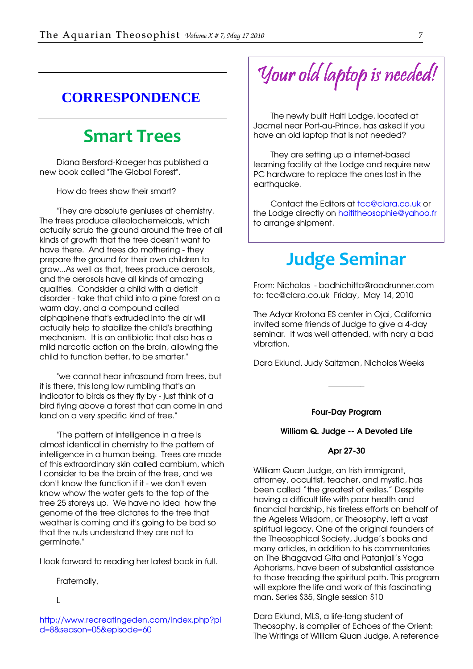## <span id="page-6-0"></span>**CORRESPONDENCE**

## Smart Trees

Diana Bersford-Kroeger has published a new book called "The Global Forest".

How do trees show their smart?

"They are absolute geniuses at chemistry. The trees produce alleolochemeicals, which actually scrub the ground around the tree of all kinds of growth that the tree doesn't want to have there. And trees do mothering - they prepare the ground for their own children to grow...As well as that, trees produce aerosols, and the aerosols have all kinds of amazing qualities. Condsider a child with a deficit disorder - take that child into a pine forest on a warm day, and a compound called alphapinene that's extruded into the air will actually help to stabilize the child's breathing mechanism. It is an antibiotic that also has a mild narcotic action on the brain, allowing the child to function better, to be smarter."

"we cannot hear infrasound from trees, but it is there, this long low rumbling that's an indicator to birds as they fly by - just think of a bird flying above a forest that can come in and land on a very specific kind of tree."

"The pattern of intelligence in a tree is almost identical in chemistry to the pattern of intelligence in a human being. Trees are made of this extraordinary skin called cambium, which I consider to be the brain of the tree, and we don't know the function if it - we don't even know whow the water gets to the top of the tree 25 storeys up. We have no idea how the genome of the tree dictates to the tree that weather is coming and it's going to be bad so that the nuts understand they are not to germinate."

I look forward to reading her latest book in full.

Fraternally,

 $\mathbf{L}$ 

[http://www.recreatingeden.com/index.php?p](http://www.recreatingeden.com/index.php?pid=8&season=05&episode=60)i d=8&season=05&episode=60

Your old laptop is needed!

The newly built Haiti Lodge, located at Jacmel near Port-au-Prince, has asked if you have an old laptop that is not needed?

They are setting up a internet-based learning facility at the Lodge and require new PC hardware to replace the ones lost in the earthquake.

Contact the Editors at [tcc@clara.co.uk or](mailto:tcc@clara.co.uk)  the Lodge directly on [haititheosophie@yahoo.fr](mailto:haititheosophie@yahoo.fr) to arrange shipment.

## Judge Seminar

From: Nicholas - bodhichitta@roadrunner.com to: tcc@clara.co.uk Friday, May 14, 2010

The Adyar Krotona ES center in Ojai, California invited some friends of Judge to give a 4-day seminar. It was well attended, with nary a bad vibration.

Dara Eklund, Judy Saltzman, Nicholas Weeks

## Four-Day Program

\_\_\_\_\_\_\_\_\_

### William Q. Judge -- A Devoted Life

### Apr 27-30

William Quan Judge, an Irish immigrant, attorney, occultist, teacher, and mystic, has been called "the greatest of exiles." Despite having a difficult life with poor health and financial hardship, his tireless efforts on behalf of the Ageless Wisdom, or Theosophy, left a vast spiritual legacy. One of the original founders of the Theosophical Society, Judge's books and many articles, in addition to his commentaries on The Bhagavad Gita and Patanjali's Yoga Aphorisms, have been of substantial assistance to those treading the spiritual path. This program will explore the life and work of this fascinating man. Series \$35, Single session \$10

Dara Eklund, MLS, a life-long student of Theosophy, is compiler of Echoes of the Orient: The Writings of William Quan Judge. A reference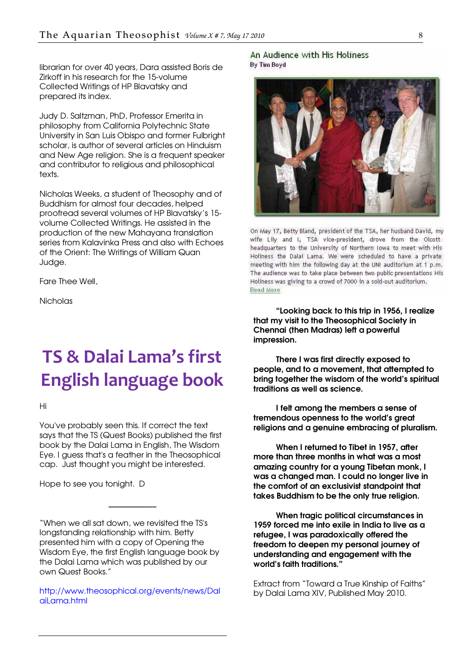<span id="page-7-0"></span>librarian for over 40 years, Dara assisted Boris de Zirkoff in his research for the 15-volume Collected Writings of HP Blavatsky and prepared its index.

Judy D. Saltzman, PhD, Professor Emerita in philosophy from California Polytechnic State University in San Luis Obispo and former Fulbright scholar, is author of several articles on Hinduism and New Age religion. She is a frequent speaker and contributor to religious and philosophical texts.

Nicholas Weeks, a student of Theosophy and of Buddhism for almost four decades, helped proofread several volumes of HP Blavatsky's 15 volume Collected Writings. He assisted in the production of the new Mahayana translation series from Kalavinka Press and also with Echoes of the Orient: The Writings of William Quan Judge.

Fare Thee Well,

Nicholas

# TS & Dalai Lama's first English language book

Hi

You've probably seen this. If correct the text says that the TS (Quest Books) published the first book by the Dalai Lama in English, The Wisdom Eye. I guess that's a feather in the Theosophical cap. Just thought you might be interested.

Hope to see you tonight. D

"When we all sat down, we revisited the TS's longstanding relationship with him. Betty presented him with a copy of Opening the Wisdom Eye, the first English language book by the Dalai Lama which was published by our own Quest Books."

\_\_\_\_\_\_\_\_\_\_\_\_

[http://www.theosophical.org/events/news/Da](http://www.theosophical.org/events/news/DalaiLama.html)l ail ama.html

### An Audience with His Holiness **By Tim Boyd**



On May 17, Betty Bland, president of the TSA, her husband David, my wife Lily and I, TSA vice-president, drove from the Olcott headquarters to the University of Northern Iowa to meet with His Holiness the Dalai Lama. We were scheduled to have a private: meeting with him the following day at the UNI auditorium at 1 p.m. The audience was to take place between two public presentations His Holiness was giving to a crowd of 7000 in a sold-out auditorium. Read More

"Looking back to this trip in 1956, I realize that my visit to the Theosophical Society in Chennai (then Madras) left a powerful impression.

There I was first directly exposed to people, and to a movement, that attempted to bring together the wisdom of the world's spiritual traditions as well as science.

I felt among the members a sense of tremendous openness to the world's great religions and a genuine embracing of pluralism.

When I returned to Tibet in 1957, after more than three months in what was a most amazing country for a young Tibetan monk, I was a changed man. I could no longer live in the comfort of an exclusivist standpoint that takes Buddhism to be the only true religion.

When tragic political circumstances in 1959 forced me into exile in India to live as a refugee, I was paradoxically offered the freedom to deepen my personal journey of understanding and engagement with the world's faith traditions."

Extract from "Toward a True Kinship of Faiths" by Dalai Lama XIV, Published May 2010.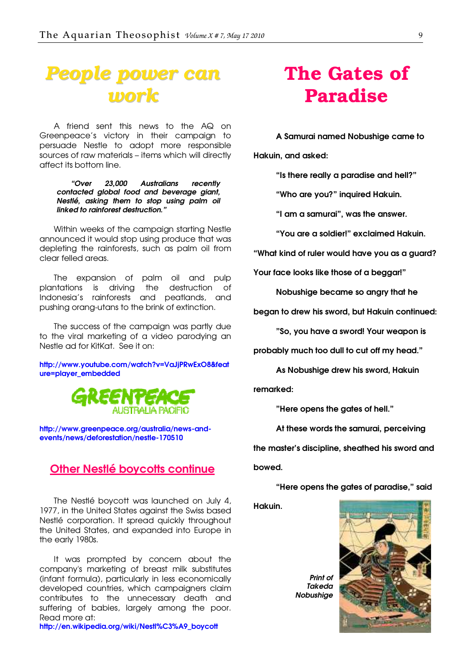## <span id="page-8-0"></span>*People power can work*

A friend sent this news to the AQ on Greenpeace's victory in their campaign to persuade Nestle to adopt more responsible sources of raw materials – items which will directly affect its bottom line.

#### "Over 23,000 Australians recently contacted global food and beverage giant, Nestlé, asking them to stop using palm oil linked to rainforest destruction."

Within weeks of the campaign starting Nestle announced it would stop using produce that was depleting the rainforests, such as palm oil from clear felled areas.

The expansion of palm oil and pulp plantations is driving the destruction of Indonesia's rainforests and peatlands, and pushing orang-utans to the brink of extinction.

The success of the campaign was partly due to the viral marketing of a video parodying an Nestle ad for KitKat. See it on:

[http://www.youtube.com/watch?v=VaJjPRwExO8&feat](http://www.youtube.com/watch?v=VaJjPRwExO8&feature=player_embedded) ure=player\_embedded



[http://www.greenpeace.org/australia/news-and](http://www.greenpeace.org/australia/news-and-events/news/deforestation/nestle-170510)events/news/deforestation/nestle-170510

## **Other Nestlé boycotts continue**

The Nestlé boycott was launched on July 4, 1977, in the United States against the Swiss based Nestlé corporation. It spread quickly throughout the United States, and expanded into Europe in the early 1980s.

It was prompted by concern about the company's marketing of breast milk substitutes (infant formula), particularly in less economically developed countries, which campaigners claim contributes to the unnecessary death and suffering of babies, largely among the poor. Read more at:

[http://en.wikipedia.org/wiki/Nestl%C3%A9\\_boycott](http://en.wikipedia.org/wiki/Nestl%C3%A9_boycott)

## The Gates of Paradise

A Samurai named Nobushige came to

Hakuin, and asked:

"Is there really a paradise and hell?"

"Who are you?" inquired Hakuin.

"I am a samurai", was the answer.

"You are a soldier!" exclaimed Hakuin.

"What kind of ruler would have you as a guard?

Your face looks like those of a beggar!"

Nobushige became so angry that he

began to drew his sword, but Hakuin continued:

"So, you have a sword! Your weapon is

probably much too dull to cut off my head."

As Nobushige drew his sword, Hakuin

remarked:

"Here opens the gates of hell."

At these words the samurai, perceiving

the master's discipline, sheathed his sword and

bowed.

"Here opens the gates of paradise," said

Hakuin.

Print of Takeda **Nobushiae**